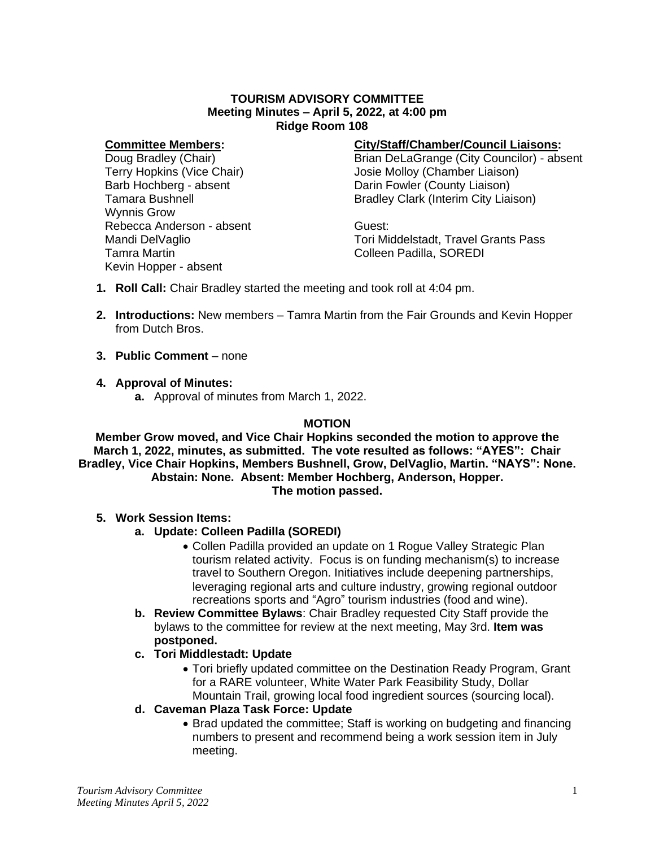# **TOURISM ADVISORY COMMITTEE Meeting Minutes – April 5, 2022, at 4:00 pm Ridge Room 108**

#### **Committee Members:**

Doug Bradley (Chair) Terry Hopkins (Vice Chair) Barb Hochberg - absent Tamara Bushnell Wynnis Grow Rebecca Anderson - absent Mandi DelVaglio Tamra Martin Kevin Hopper - absent

## **City/Staff/Chamber/Council Liaisons:**

Brian DeLaGrange (City Councilor) - absent Josie Molloy (Chamber Liaison) Darin Fowler (County Liaison) Bradley Clark (Interim City Liaison)

Guest: Tori Middelstadt, Travel Grants Pass Colleen Padilla, SOREDI

- **1. Roll Call:** Chair Bradley started the meeting and took roll at 4:04 pm.
- **2. Introductions:** New members Tamra Martin from the Fair Grounds and Kevin Hopper from Dutch Bros.
- **3. Public Comment** none
- **4. Approval of Minutes:**
	- **a.** Approval of minutes from March 1, 2022.

## **MOTION**

**Member Grow moved, and Vice Chair Hopkins seconded the motion to approve the March 1, 2022, minutes, as submitted. The vote resulted as follows: "AYES": Chair Bradley, Vice Chair Hopkins, Members Bushnell, Grow, DelVaglio, Martin. "NAYS": None. Abstain: None. Absent: Member Hochberg, Anderson, Hopper. The motion passed.**

## **5. Work Session Items:**

- **a. Update: Colleen Padilla (SOREDI)**
	- Collen Padilla provided an update on 1 Rogue Valley Strategic Plan tourism related activity. Focus is on funding mechanism(s) to increase travel to Southern Oregon. Initiatives include deepening partnerships, leveraging regional arts and culture industry, growing regional outdoor recreations sports and "Agro" tourism industries (food and wine).
- **b. Review Committee Bylaws**: Chair Bradley requested City Staff provide the bylaws to the committee for review at the next meeting, May 3rd. **Item was postponed.**

## **c. Tori Middlestadt: Update**

• Tori briefly updated committee on the Destination Ready Program, Grant for a RARE volunteer, White Water Park Feasibility Study, Dollar Mountain Trail, growing local food ingredient sources (sourcing local).

## **d. Caveman Plaza Task Force: Update**

• Brad updated the committee; Staff is working on budgeting and financing numbers to present and recommend being a work session item in July meeting.